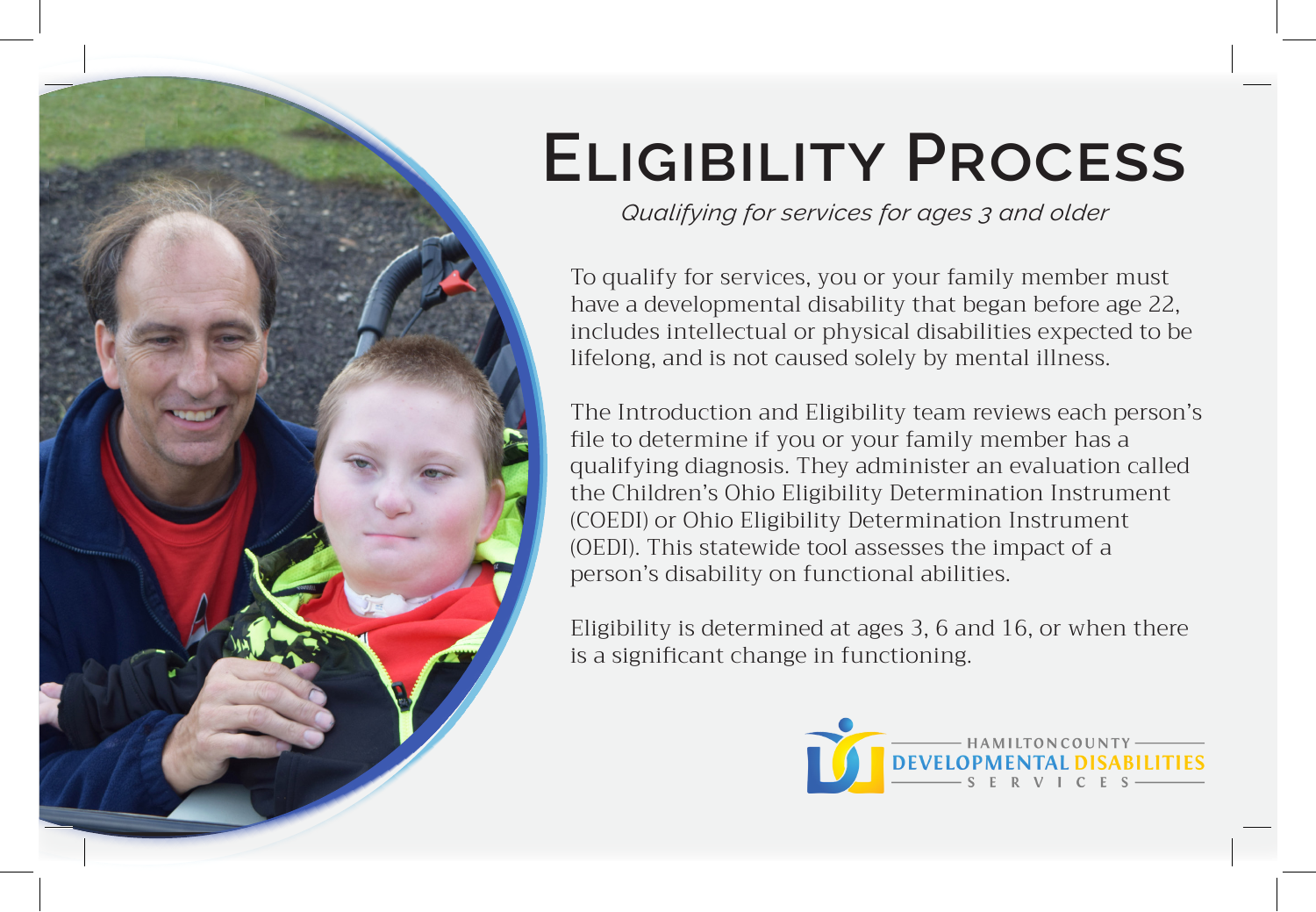

# **Eligibility Process**

*Qualifying for services for ages 3 and older*

To qualify for services, you or your family member must have a developmental disability that began before age 22, includes intellectual or physical disabilities expected to be lifelong, and is not caused solely by mental illness.

The Introduction and Eligibility team reviews each person's file to determine if you or your family member has a qualifying diagnosis. They administer an evaluation called the Children's Ohio Eligibility Determination Instrument (COEDI) or Ohio Eligibility Determination Instrument (OEDI). This statewide tool assesses the impact of a person's disability on functional abilities.

Eligibility is determined at ages 3, 6 and 16, or when there is a significant change in functioning.